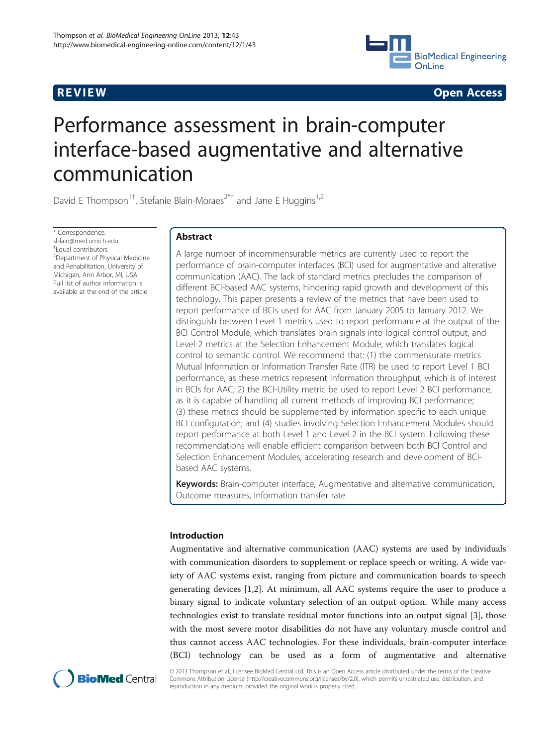

**REVIEW REVIEW CONSTRUCTER ACCESS** 

# Performance assessment in brain-computer interface-based augmentative and alternative communication

David E Thompson<sup>1†</sup>, Stefanie Blain-Moraes<sup>2\*†</sup> and Jane E Huggins<sup>1,2</sup>

\* Correspondence: [sblain@med.umich.edu](mailto:sblain@med.umich.edu) † Equal contributors <sup>2</sup>Department of Physical Medicine and Rehabilitation, University of Michigan, Ann Arbor, MI, USA Full list of author information is available at the end of the article

# Abstract

A large number of incommensurable metrics are currently used to report the performance of brain-computer interfaces (BCI) used for augmentative and alterative communication (AAC). The lack of standard metrics precludes the comparison of different BCI-based AAC systems, hindering rapid growth and development of this technology. This paper presents a review of the metrics that have been used to report performance of BCIs used for AAC from January 2005 to January 2012. We distinguish between Level 1 metrics used to report performance at the output of the BCI Control Module, which translates brain signals into logical control output, and Level 2 metrics at the Selection Enhancement Module, which translates logical control to semantic control. We recommend that: (1) the commensurate metrics Mutual Information or Information Transfer Rate (ITR) be used to report Level 1 BCI performance, as these metrics represent information throughput, which is of interest in BCIs for AAC; 2) the BCI-Utility metric be used to report Level 2 BCI performance, as it is capable of handling all current methods of improving BCI performance; (3) these metrics should be supplemented by information specific to each unique BCI configuration; and (4) studies involving Selection Enhancement Modules should report performance at both Level 1 and Level 2 in the BCI system. Following these recommendations will enable efficient comparison between both BCI Control and Selection Enhancement Modules, accelerating research and development of BCIbased AAC systems.

Keywords: Brain-computer interface, Augmentative and alternative communication, Outcome measures, Information transfer rate

# Introduction

Augmentative and alternative communication (AAC) systems are used by individuals with communication disorders to supplement or replace speech or writing. A wide variety of AAC systems exist, ranging from picture and communication boards to speech generating devices [\[1,2](#page-19-0)]. At minimum, all AAC systems require the user to produce a binary signal to indicate voluntary selection of an output option. While many access technologies exist to translate residual motor functions into an output signal [\[3](#page-19-0)], those with the most severe motor disabilities do not have any voluntary muscle control and thus cannot access AAC technologies. For these individuals, brain-computer interface (BCI) technology can be used as a form of augmentative and alternative



© 2013 Thompson et al.; licensee BioMed Central Ltd. This is an Open Access article distributed under the terms of the Creative Commons Attribution License [\(http://creativecommons.org/licenses/by/2.0\)](http://creativecommons.org/licenses/by/2.0), which permits unrestricted use, distribution, and reproduction in any medium, provided the original work is properly cited.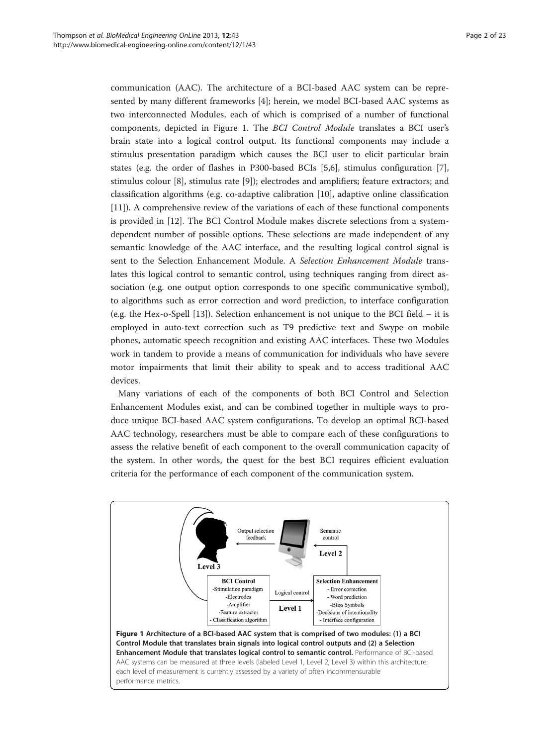<span id="page-1-0"></span>communication (AAC). The architecture of a BCI-based AAC system can be represented by many different frameworks [[4\]](#page-19-0); herein, we model BCI-based AAC systems as two interconnected Modules, each of which is comprised of a number of functional components, depicted in Figure 1. The BCI Control Module translates a BCI user's brain state into a logical control output. Its functional components may include a stimulus presentation paradigm which causes the BCI user to elicit particular brain states (e.g. the order of flashes in P300-based BCIs [\[5,6](#page-19-0)], stimulus configuration [\[7](#page-19-0)], stimulus colour [[8\]](#page-19-0), stimulus rate [[9\]](#page-19-0)); electrodes and amplifiers; feature extractors; and classification algorithms (e.g. co-adaptive calibration [[10](#page-19-0)], adaptive online classification [[11\]](#page-19-0)). A comprehensive review of the variations of each of these functional components is provided in [\[12\]](#page-19-0). The BCI Control Module makes discrete selections from a systemdependent number of possible options. These selections are made independent of any semantic knowledge of the AAC interface, and the resulting logical control signal is sent to the Selection Enhancement Module. A Selection Enhancement Module translates this logical control to semantic control, using techniques ranging from direct association (e.g. one output option corresponds to one specific communicative symbol), to algorithms such as error correction and word prediction, to interface configuration (e.g. the Hex-o-Spell [\[13](#page-19-0)]). Selection enhancement is not unique to the BCI field – it is employed in auto-text correction such as T9 predictive text and Swype on mobile phones, automatic speech recognition and existing AAC interfaces. These two Modules work in tandem to provide a means of communication for individuals who have severe motor impairments that limit their ability to speak and to access traditional AAC devices.

Many variations of each of the components of both BCI Control and Selection Enhancement Modules exist, and can be combined together in multiple ways to produce unique BCI-based AAC system configurations. To develop an optimal BCI-based AAC technology, researchers must be able to compare each of these configurations to assess the relative benefit of each component to the overall communication capacity of the system. In other words, the quest for the best BCI requires efficient evaluation criteria for the performance of each component of the communication system.

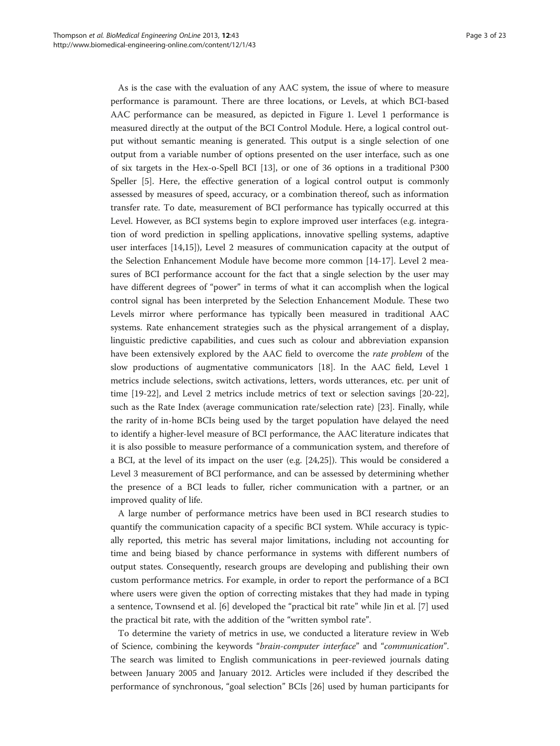As is the case with the evaluation of any AAC system, the issue of where to measure performance is paramount. There are three locations, or Levels, at which BCI-based AAC performance can be measured, as depicted in Figure [1](#page-1-0). Level 1 performance is measured directly at the output of the BCI Control Module. Here, a logical control output without semantic meaning is generated. This output is a single selection of one output from a variable number of options presented on the user interface, such as one of six targets in the Hex-o-Spell BCI [\[13](#page-19-0)], or one of 36 options in a traditional P300 Speller [[5\]](#page-19-0). Here, the effective generation of a logical control output is commonly assessed by measures of speed, accuracy, or a combination thereof, such as information transfer rate. To date, measurement of BCI performance has typically occurred at this Level. However, as BCI systems begin to explore improved user interfaces (e.g. integration of word prediction in spelling applications, innovative spelling systems, adaptive user interfaces [[14,15](#page-19-0)]), Level 2 measures of communication capacity at the output of the Selection Enhancement Module have become more common [\[14](#page-19-0)-[17\]](#page-19-0). Level 2 measures of BCI performance account for the fact that a single selection by the user may have different degrees of "power" in terms of what it can accomplish when the logical control signal has been interpreted by the Selection Enhancement Module. These two Levels mirror where performance has typically been measured in traditional AAC systems. Rate enhancement strategies such as the physical arrangement of a display, linguistic predictive capabilities, and cues such as colour and abbreviation expansion have been extensively explored by the AAC field to overcome the rate problem of the slow productions of augmentative communicators [[18](#page-19-0)]. In the AAC field, Level 1 metrics include selections, switch activations, letters, words utterances, etc. per unit of time [[19-](#page-19-0)[22](#page-20-0)], and Level 2 metrics include metrics of text or selection savings [\[20-22](#page-20-0)], such as the Rate Index (average communication rate/selection rate) [[23\]](#page-20-0). Finally, while the rarity of in-home BCIs being used by the target population have delayed the need to identify a higher-level measure of BCI performance, the AAC literature indicates that it is also possible to measure performance of a communication system, and therefore of a BCI, at the level of its impact on the user (e.g. [\[24,25\]](#page-20-0)). This would be considered a Level 3 measurement of BCI performance, and can be assessed by determining whether the presence of a BCI leads to fuller, richer communication with a partner, or an improved quality of life.

A large number of performance metrics have been used in BCI research studies to quantify the communication capacity of a specific BCI system. While accuracy is typically reported, this metric has several major limitations, including not accounting for time and being biased by chance performance in systems with different numbers of output states. Consequently, research groups are developing and publishing their own custom performance metrics. For example, in order to report the performance of a BCI where users were given the option of correcting mistakes that they had made in typing a sentence, Townsend et al. [\[6](#page-19-0)] developed the "practical bit rate" while Jin et al. [[7\]](#page-19-0) used the practical bit rate, with the addition of the "written symbol rate".

To determine the variety of metrics in use, we conducted a literature review in Web of Science, combining the keywords "brain-computer interface" and "communication". The search was limited to English communications in peer-reviewed journals dating between January 2005 and January 2012. Articles were included if they described the performance of synchronous, "goal selection" BCIs [[26](#page-20-0)] used by human participants for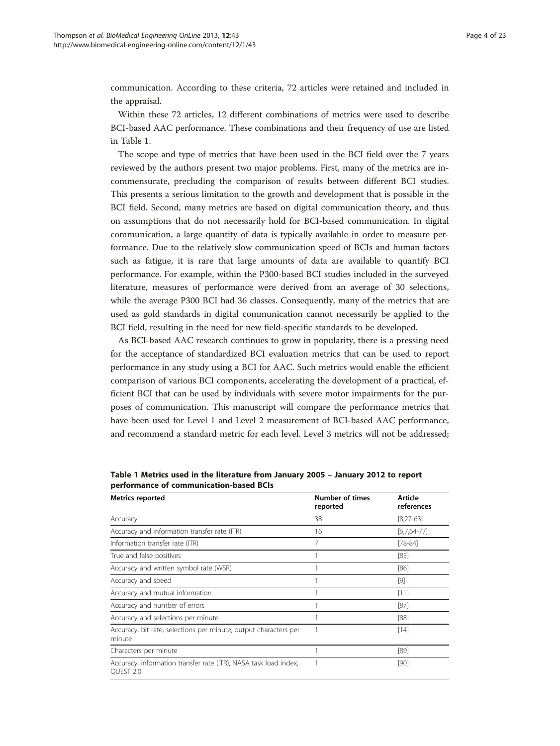communication. According to these criteria, 72 articles were retained and included in the appraisal.

Within these 72 articles, 12 different combinations of metrics were used to describe BCI-based AAC performance. These combinations and their frequency of use are listed in Table 1.

The scope and type of metrics that have been used in the BCI field over the 7 years reviewed by the authors present two major problems. First, many of the metrics are incommensurate, precluding the comparison of results between different BCI studies. This presents a serious limitation to the growth and development that is possible in the BCI field. Second, many metrics are based on digital communication theory, and thus on assumptions that do not necessarily hold for BCI-based communication. In digital communication, a large quantity of data is typically available in order to measure performance. Due to the relatively slow communication speed of BCIs and human factors such as fatigue, it is rare that large amounts of data are available to quantify BCI performance. For example, within the P300-based BCI studies included in the surveyed literature, measures of performance were derived from an average of 30 selections, while the average P300 BCI had 36 classes. Consequently, many of the metrics that are used as gold standards in digital communication cannot necessarily be applied to the BCI field, resulting in the need for new field-specific standards to be developed.

As BCI-based AAC research continues to grow in popularity, there is a pressing need for the acceptance of standardized BCI evaluation metrics that can be used to report performance in any study using a BCI for AAC. Such metrics would enable the efficient comparison of various BCI components, accelerating the development of a practical, efficient BCI that can be used by individuals with severe motor impairments for the purposes of communication. This manuscript will compare the performance metrics that have been used for Level 1 and Level 2 measurement of BCI-based AAC performance, and recommend a standard metric for each level. Level 3 metrics will not be addressed;

| <b>Metrics reported</b>                                                       | Number of times<br>reported | Article<br>references |
|-------------------------------------------------------------------------------|-----------------------------|-----------------------|
| Accuracy                                                                      | 38                          | $[8,27-63]$           |
| Accuracy and information transfer rate (ITR)                                  | 16                          | $[6,7,64-77]$         |
| Information transfer rate (ITR)                                               | 7                           | [78-84]               |
| True and false positives                                                      |                             | [85]                  |
| Accuracy and written symbol rate (WSR)                                        |                             | [86]                  |
| Accuracy and speed                                                            |                             | [9]                   |
| Accuracy and mutual information                                               |                             | $[11]$                |
| Accuracy and number of errors                                                 |                             | [87]                  |
| Accuracy and selections per minute                                            |                             | [88]                  |
| Accuracy, bit rate, selections per minute, output characters per<br>minute    |                             | $[14]$                |
| Characters per minute                                                         |                             | [89]                  |
| Accuracy, information transfer rate (ITR), NASA task load index,<br>OUEST 2.0 |                             | [90]                  |

Table 1 Metrics used in the literature from January 2005 – January 2012 to report performance of communication-based BCIs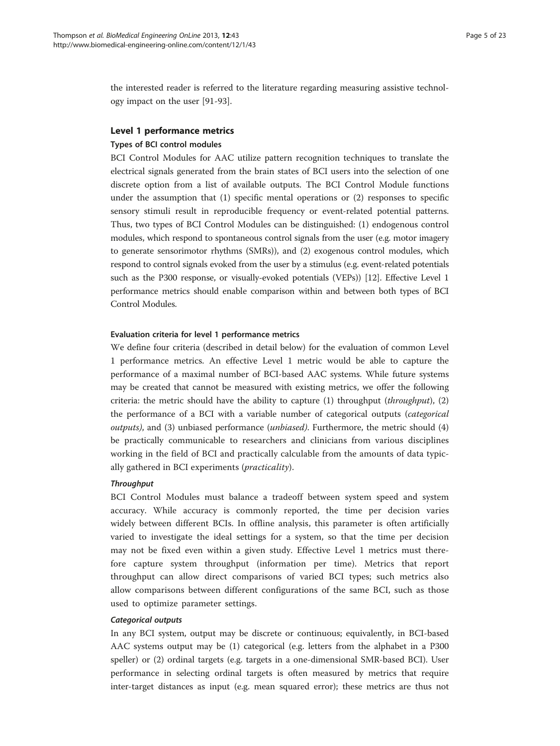the interested reader is referred to the literature regarding measuring assistive technology impact on the user [\[91](#page-22-0)-[93](#page-22-0)].

# Level 1 performance metrics

# Types of BCI control modules

BCI Control Modules for AAC utilize pattern recognition techniques to translate the electrical signals generated from the brain states of BCI users into the selection of one discrete option from a list of available outputs. The BCI Control Module functions under the assumption that  $(1)$  specific mental operations or  $(2)$  responses to specific sensory stimuli result in reproducible frequency or event-related potential patterns. Thus, two types of BCI Control Modules can be distinguished: (1) endogenous control modules, which respond to spontaneous control signals from the user (e.g. motor imagery to generate sensorimotor rhythms (SMRs)), and (2) exogenous control modules, which respond to control signals evoked from the user by a stimulus (e.g. event-related potentials such as the P300 response, or visually-evoked potentials (VEPs)) [\[12\]](#page-19-0). Effective Level 1 performance metrics should enable comparison within and between both types of BCI Control Modules.

# Evaluation criteria for level 1 performance metrics

We define four criteria (described in detail below) for the evaluation of common Level 1 performance metrics. An effective Level 1 metric would be able to capture the performance of a maximal number of BCI-based AAC systems. While future systems may be created that cannot be measured with existing metrics, we offer the following criteria: the metric should have the ability to capture (1) throughput (throughput), (2) the performance of a BCI with a variable number of categorical outputs (categorical outputs), and (3) unbiased performance (unbiased). Furthermore, the metric should (4) be practically communicable to researchers and clinicians from various disciplines working in the field of BCI and practically calculable from the amounts of data typically gathered in BCI experiments (practicality).

# **Throughput**

BCI Control Modules must balance a tradeoff between system speed and system accuracy. While accuracy is commonly reported, the time per decision varies widely between different BCIs. In offline analysis, this parameter is often artificially varied to investigate the ideal settings for a system, so that the time per decision may not be fixed even within a given study. Effective Level 1 metrics must therefore capture system throughput (information per time). Metrics that report throughput can allow direct comparisons of varied BCI types; such metrics also allow comparisons between different configurations of the same BCI, such as those used to optimize parameter settings.

#### Categorical outputs

In any BCI system, output may be discrete or continuous; equivalently, in BCI-based AAC systems output may be (1) categorical (e.g. letters from the alphabet in a P300 speller) or (2) ordinal targets (e.g. targets in a one-dimensional SMR-based BCI). User performance in selecting ordinal targets is often measured by metrics that require inter-target distances as input (e.g. mean squared error); these metrics are thus not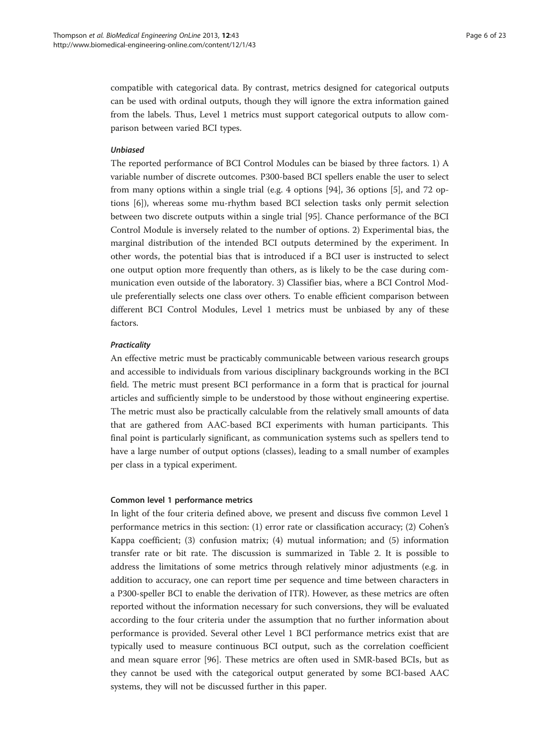<span id="page-5-0"></span>compatible with categorical data. By contrast, metrics designed for categorical outputs can be used with ordinal outputs, though they will ignore the extra information gained from the labels. Thus, Level 1 metrics must support categorical outputs to allow comparison between varied BCI types.

#### Unbiased

The reported performance of BCI Control Modules can be biased by three factors. 1) A variable number of discrete outcomes. P300-based BCI spellers enable the user to select from many options within a single trial (e.g. 4 options [[94](#page-22-0)], 36 options [\[5](#page-19-0)], and 72 options [\[6\]](#page-19-0)), whereas some mu-rhythm based BCI selection tasks only permit selection between two discrete outputs within a single trial [[95](#page-22-0)]. Chance performance of the BCI Control Module is inversely related to the number of options. 2) Experimental bias, the marginal distribution of the intended BCI outputs determined by the experiment. In other words, the potential bias that is introduced if a BCI user is instructed to select one output option more frequently than others, as is likely to be the case during communication even outside of the laboratory. 3) Classifier bias, where a BCI Control Module preferentially selects one class over others. To enable efficient comparison between different BCI Control Modules, Level 1 metrics must be unbiased by any of these factors.

# **Practicality**

An effective metric must be practicably communicable between various research groups and accessible to individuals from various disciplinary backgrounds working in the BCI field. The metric must present BCI performance in a form that is practical for journal articles and sufficiently simple to be understood by those without engineering expertise. The metric must also be practically calculable from the relatively small amounts of data that are gathered from AAC-based BCI experiments with human participants. This final point is particularly significant, as communication systems such as spellers tend to have a large number of output options (classes), leading to a small number of examples per class in a typical experiment.

#### Common level 1 performance metrics

In light of the four criteria defined above, we present and discuss five common Level 1 performance metrics in this section: (1) error rate or classification accuracy; (2) Cohen's Kappa coefficient; (3) confusion matrix; (4) mutual information; and (5) information transfer rate or bit rate. The discussion is summarized in Table [2](#page-6-0). It is possible to address the limitations of some metrics through relatively minor adjustments (e.g. in addition to accuracy, one can report time per sequence and time between characters in a P300-speller BCI to enable the derivation of ITR). However, as these metrics are often reported without the information necessary for such conversions, they will be evaluated according to the four criteria under the assumption that no further information about performance is provided. Several other Level 1 BCI performance metrics exist that are typically used to measure continuous BCI output, such as the correlation coefficient and mean square error [\[96](#page-22-0)]. These metrics are often used in SMR-based BCIs, but as they cannot be used with the categorical output generated by some BCI-based AAC systems, they will not be discussed further in this paper.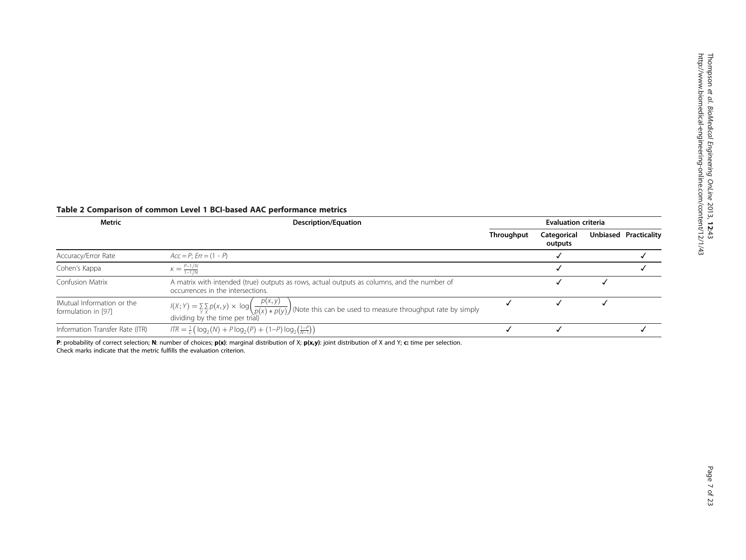# <span id="page-6-0"></span>Table 2 Comparison of common Level 1 BCI-based AAC performance metrics

| <b>Metric</b>                                     | <b>Description/Equation</b>                                                                                                                                                              | <b>Evaluation criteria</b> |                        |  |                              |
|---------------------------------------------------|------------------------------------------------------------------------------------------------------------------------------------------------------------------------------------------|----------------------------|------------------------|--|------------------------------|
|                                                   |                                                                                                                                                                                          | Throughput                 | Categorical<br>outputs |  | <b>Unbiased Practicality</b> |
| Accuracy/Error Rate                               | $Acc = P$ ; $Err = (1 - P)$                                                                                                                                                              |                            |                        |  |                              |
| Cohen's Kappa                                     | $K = \frac{P-1/N}{1-1/N}$                                                                                                                                                                |                            |                        |  |                              |
| Confusion Matrix                                  | A matrix with intended (true) outputs as rows, actual outputs as columns, and the number of<br>occurrences in the intersections.                                                         |                            |                        |  |                              |
| IMutual Information or the<br>formulation in [97] | $I(X;Y) = \sum_{y} \sum_{x} p(x,y) \times \log \left( \frac{p(x,y)}{p(x) + p(y)} \right)$ (Note this can be used to measure throughput rate by simply<br>dividing by the time per trial) |                            |                        |  |                              |
| Information Transfer Rate (ITR)                   | $ITR = \frac{1}{6} (log_2(N) + P log_2(P) + (1-P) log_2(\frac{1-P}{N-1}))$                                                                                                               |                            |                        |  |                              |

P: probability of correct selection; N: number of choices;  $p(x)$ : marginal distribution of X;  $p(x,y)$ : joint distribution of X and Y; c: time per selection. Check marks indicate that the metric fulfills the evaluation criterion.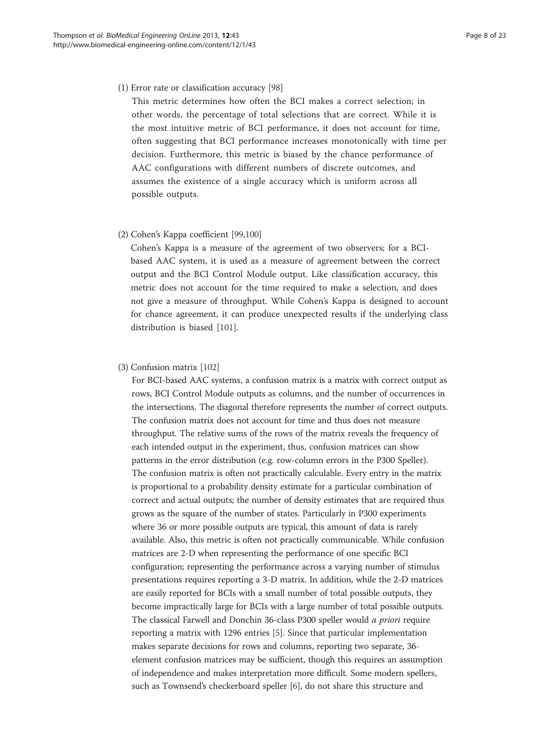(1) Error rate or classification accuracy [[98](#page-22-0)]

This metric determines how often the BCI makes a correct selection; in other words, the percentage of total selections that are correct. While it is the most intuitive metric of BCI performance, it does not account for time, often suggesting that BCI performance increases monotonically with time per decision. Furthermore, this metric is biased by the chance performance of AAC configurations with different numbers of discrete outcomes, and assumes the existence of a single accuracy which is uniform across all possible outputs.

(2) Cohen's Kappa coefficient [\[99,100](#page-22-0)]

Cohen's Kappa is a measure of the agreement of two observers; for a BCIbased AAC system, it is used as a measure of agreement between the correct output and the BCI Control Module output. Like classification accuracy, this metric does not account for the time required to make a selection, and does not give a measure of throughput. While Cohen's Kappa is designed to account for chance agreement, it can produce unexpected results if the underlying class distribution is biased [[101\]](#page-22-0).

#### (3) Confusion matrix [\[102](#page-22-0)]

For BCI-based AAC systems, a confusion matrix is a matrix with correct output as rows, BCI Control Module outputs as columns, and the number of occurrences in the intersections. The diagonal therefore represents the number of correct outputs. The confusion matrix does not account for time and thus does not measure throughput. The relative sums of the rows of the matrix reveals the frequency of each intended output in the experiment, thus, confusion matrices can show patterns in the error distribution (e.g. row-column errors in the P300 Speller). The confusion matrix is often not practically calculable. Every entry in the matrix is proportional to a probability density estimate for a particular combination of correct and actual outputs; the number of density estimates that are required thus grows as the square of the number of states. Particularly in P300 experiments where 36 or more possible outputs are typical, this amount of data is rarely available. Also, this metric is often not practically communicable. While confusion matrices are 2-D when representing the performance of one specific BCI configuration; representing the performance across a varying number of stimulus presentations requires reporting a 3-D matrix. In addition, while the 2-D matrices are easily reported for BCIs with a small number of total possible outputs, they become impractically large for BCIs with a large number of total possible outputs. The classical Farwell and Donchin 36-class P300 speller would a priori require reporting a matrix with 1296 entries [[5\]](#page-19-0). Since that particular implementation makes separate decisions for rows and columns, reporting two separate, 36 element confusion matrices may be sufficient, though this requires an assumption of independence and makes interpretation more difficult. Some modern spellers, such as Townsend's checkerboard speller [[6](#page-19-0)], do not share this structure and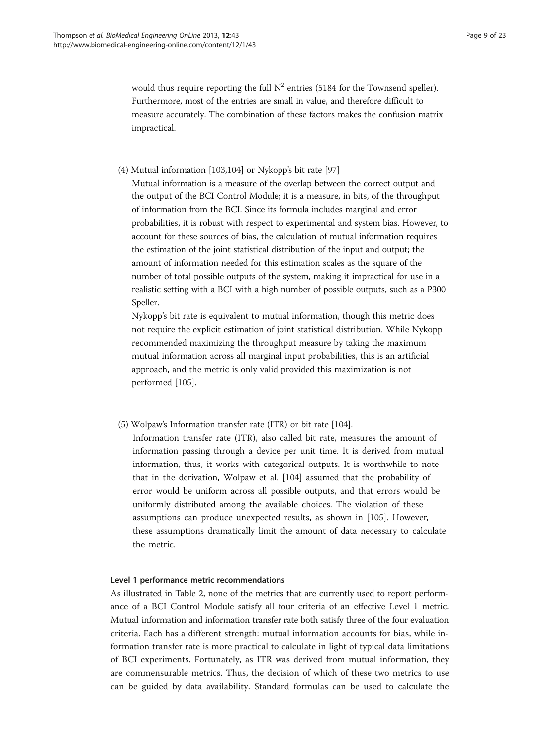would thus require reporting the full  $N^2$  entries (5184 for the Townsend speller). Furthermore, most of the entries are small in value, and therefore difficult to measure accurately. The combination of these factors makes the confusion matrix impractical.

(4) Mutual information [\[103,104](#page-22-0)] or Nykopp's bit rate [[97](#page-22-0)]

Mutual information is a measure of the overlap between the correct output and the output of the BCI Control Module; it is a measure, in bits, of the throughput of information from the BCI. Since its formula includes marginal and error probabilities, it is robust with respect to experimental and system bias. However, to account for these sources of bias, the calculation of mutual information requires the estimation of the joint statistical distribution of the input and output; the amount of information needed for this estimation scales as the square of the number of total possible outputs of the system, making it impractical for use in a realistic setting with a BCI with a high number of possible outputs, such as a P300 Speller.

Nykopp's bit rate is equivalent to mutual information, though this metric does not require the explicit estimation of joint statistical distribution. While Nykopp recommended maximizing the throughput measure by taking the maximum mutual information across all marginal input probabilities, this is an artificial approach, and the metric is only valid provided this maximization is not performed [\[105\]](#page-22-0).

(5) Wolpaw's Information transfer rate (ITR) or bit rate [[104](#page-22-0)].

Information transfer rate (ITR), also called bit rate, measures the amount of information passing through a device per unit time. It is derived from mutual information, thus, it works with categorical outputs. It is worthwhile to note that in the derivation, Wolpaw et al. [[104](#page-22-0)] assumed that the probability of error would be uniform across all possible outputs, and that errors would be uniformly distributed among the available choices. The violation of these assumptions can produce unexpected results, as shown in [\[105](#page-22-0)]. However, these assumptions dramatically limit the amount of data necessary to calculate the metric.

#### Level 1 performance metric recommendations

As illustrated in Table [2](#page-6-0), none of the metrics that are currently used to report performance of a BCI Control Module satisfy all four criteria of an effective Level 1 metric. Mutual information and information transfer rate both satisfy three of the four evaluation criteria. Each has a different strength: mutual information accounts for bias, while information transfer rate is more practical to calculate in light of typical data limitations of BCI experiments. Fortunately, as ITR was derived from mutual information, they are commensurable metrics. Thus, the decision of which of these two metrics to use can be guided by data availability. Standard formulas can be used to calculate the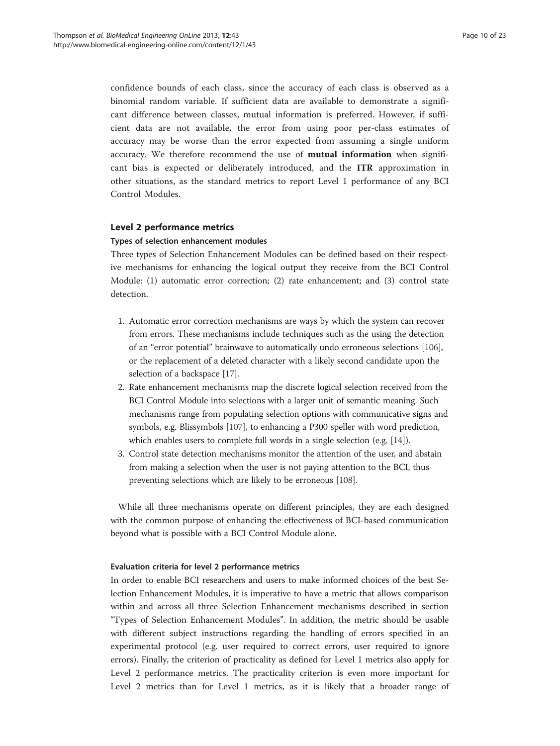confidence bounds of each class, since the accuracy of each class is observed as a binomial random variable. If sufficient data are available to demonstrate a significant difference between classes, mutual information is preferred. However, if sufficient data are not available, the error from using poor per-class estimates of accuracy may be worse than the error expected from assuming a single uniform accuracy. We therefore recommend the use of mutual information when significant bias is expected or deliberately introduced, and the ITR approximation in other situations, as the standard metrics to report Level 1 performance of any BCI Control Modules.

# Level 2 performance metrics

#### Types of selection enhancement modules

Three types of Selection Enhancement Modules can be defined based on their respective mechanisms for enhancing the logical output they receive from the BCI Control Module: (1) automatic error correction; (2) rate enhancement; and (3) control state detection.

- 1. Automatic error correction mechanisms are ways by which the system can recover from errors. These mechanisms include techniques such as the using the detection of an "error potential" brainwave to automatically undo erroneous selections [[106](#page-22-0)], or the replacement of a deleted character with a likely second candidate upon the selection of a backspace [[17](#page-19-0)].
- 2. Rate enhancement mechanisms map the discrete logical selection received from the BCI Control Module into selections with a larger unit of semantic meaning. Such mechanisms range from populating selection options with communicative signs and symbols, e.g. Blissymbols [[107](#page-22-0)], to enhancing a P300 speller with word prediction, which enables users to complete full words in a single selection (e.g. [[14](#page-19-0)]).
- 3. Control state detection mechanisms monitor the attention of the user, and abstain from making a selection when the user is not paying attention to the BCI, thus preventing selections which are likely to be erroneous [[108](#page-22-0)].

While all three mechanisms operate on different principles, they are each designed with the common purpose of enhancing the effectiveness of BCI-based communication beyond what is possible with a BCI Control Module alone.

#### Evaluation criteria for level 2 performance metrics

In order to enable BCI researchers and users to make informed choices of the best Selection Enhancement Modules, it is imperative to have a metric that allows comparison within and across all three Selection Enhancement mechanisms described in section "Types of Selection Enhancement Modules". In addition, the metric should be usable with different subject instructions regarding the handling of errors specified in an experimental protocol (e.g. user required to correct errors, user required to ignore errors). Finally, the criterion of practicality as defined for Level 1 metrics also apply for Level 2 performance metrics. The practicality criterion is even more important for Level 2 metrics than for Level 1 metrics, as it is likely that a broader range of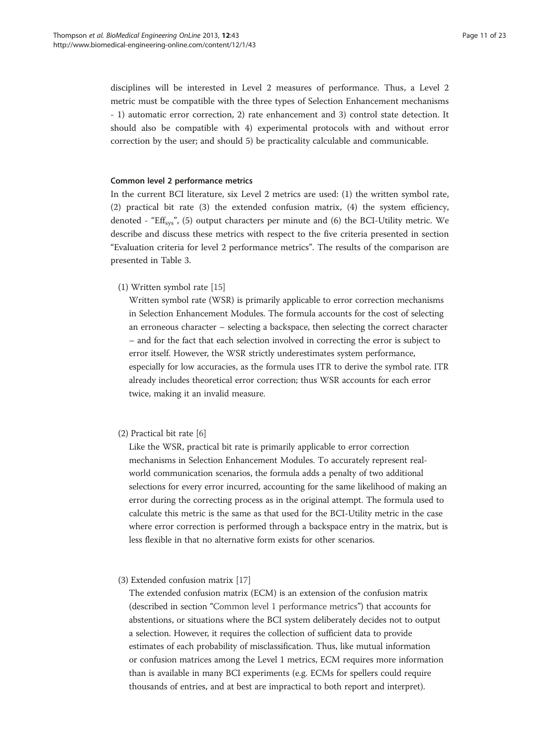disciplines will be interested in Level 2 measures of performance. Thus, a Level 2 metric must be compatible with the three types of Selection Enhancement mechanisms - 1) automatic error correction, 2) rate enhancement and 3) control state detection. It should also be compatible with 4) experimental protocols with and without error correction by the user; and should 5) be practicality calculable and communicable.

#### Common level 2 performance metrics

In the current BCI literature, six Level 2 metrics are used: (1) the written symbol rate, (2) practical bit rate (3) the extended confusion matrix, (4) the system efficiency, denoted - "Eff<sub>sys</sub>", (5) output characters per minute and (6) the BCI-Utility metric. We describe and discuss these metrics with respect to the five criteria presented in section "Evaluation criteria for level 2 performance metrics". The results of the comparison are presented in Table [3](#page-11-0).

(1) Written symbol rate [\[15\]](#page-19-0)

Written symbol rate (WSR) is primarily applicable to error correction mechanisms in Selection Enhancement Modules. The formula accounts for the cost of selecting an erroneous character – selecting a backspace, then selecting the correct character – and for the fact that each selection involved in correcting the error is subject to error itself. However, the WSR strictly underestimates system performance, especially for low accuracies, as the formula uses ITR to derive the symbol rate. ITR already includes theoretical error correction; thus WSR accounts for each error twice, making it an invalid measure.

(2) Practical bit rate [[6\]](#page-19-0)

Like the WSR, practical bit rate is primarily applicable to error correction mechanisms in Selection Enhancement Modules. To accurately represent realworld communication scenarios, the formula adds a penalty of two additional selections for every error incurred, accounting for the same likelihood of making an error during the correcting process as in the original attempt. The formula used to calculate this metric is the same as that used for the BCI-Utility metric in the case where error correction is performed through a backspace entry in the matrix, but is less flexible in that no alternative form exists for other scenarios.

(3) Extended confusion matrix [\[17\]](#page-19-0)

The extended confusion matrix (ECM) is an extension of the confusion matrix (described in section "[Common level 1 performance metrics](#page-5-0)") that accounts for abstentions, or situations where the BCI system deliberately decides not to output a selection. However, it requires the collection of sufficient data to provide estimates of each probability of misclassification. Thus, like mutual information or confusion matrices among the Level 1 metrics, ECM requires more information than is available in many BCI experiments (e.g. ECMs for spellers could require thousands of entries, and at best are impractical to both report and interpret).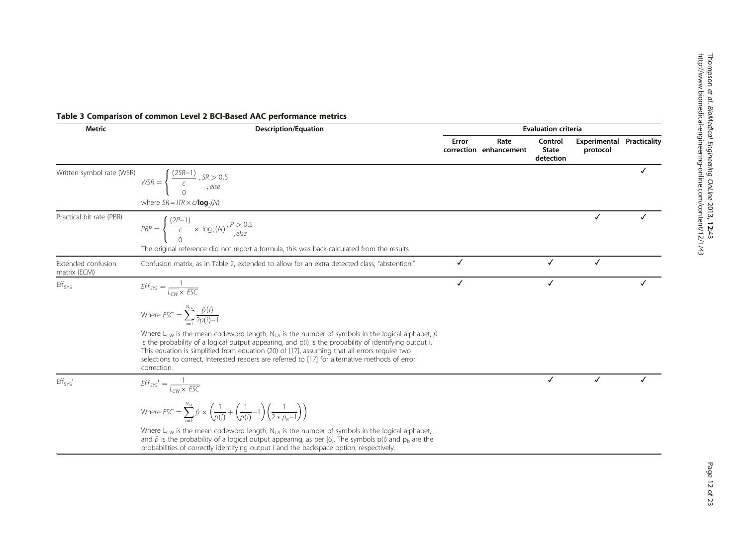#### <span id="page-11-0"></span>Table 3 Comparison of common Level 2 BCI-Based AAC performance metrics

| Metric                             | <b>Description/Equation</b>                                                                                                                                                                                                                                                                                              | <b>Evaluation criteria</b> |                                |                                      |                                              |   |
|------------------------------------|--------------------------------------------------------------------------------------------------------------------------------------------------------------------------------------------------------------------------------------------------------------------------------------------------------------------------|----------------------------|--------------------------------|--------------------------------------|----------------------------------------------|---|
|                                    |                                                                                                                                                                                                                                                                                                                          | Error                      | Rate<br>correction enhancement | Control<br><b>State</b><br>detection | <b>Experimental Practicality</b><br>protocol |   |
| Written symbol rate (WSR)          | $WSR = \left\{ \frac{(2SR-1)}{c}, SR > 0.5\right\}$<br>where $SR = ITR \times c/\log_2(N)$                                                                                                                                                                                                                               |                            |                                |                                      |                                              | ✓ |
| Practical bit rate (PBR)           | $PBR = \left\{ \frac{(2P-1)}{c} \times \log_2(N), \frac{P}{P} > 0.5 \right\}$<br>The original reference did not report a formula, this was back-calculated from the results                                                                                                                                              |                            |                                |                                      | $\checkmark$                                 | ✓ |
| Extended confusion<br>matrix (ECM) | Confusion matrix, as in Table 2, extended to allow for an extra detected class, "abstention."                                                                                                                                                                                                                            | ✓                          |                                | ✓                                    | $\checkmark$                                 |   |
| $Eff_{\varsigma\gamma\varsigma}$   | $Eff_{\text{SYS}} = \frac{1}{\sqrt{N} \times F_{\text{ISC}}}$                                                                                                                                                                                                                                                            | $\checkmark$               |                                | $\checkmark$                         |                                              | ✓ |
|                                    | Where $\overline{ESC} = \sum_{i=1}^{N_{LA}} \frac{\hat{p}(i)}{2p(i)-1}$<br>Where L <sub>CW</sub> is the mean codeword length, N <sub>LA</sub> is the number of symbols in the logical alphabet, $\hat{p}$                                                                                                                |                            |                                |                                      |                                              |   |
|                                    | is the probability of a logical output appearing, and p(i) is the probability of identifying output i.<br>This equation is simplified from equation (20) of [17], assuming that all errors require two<br>selections to correct. Interested readers are referred to [17] for alternative methods of error<br>correction. |                            |                                |                                      |                                              |   |
| Eff <sub>SYS</sub> '               | $Eff_{\text{SYS}}' = \frac{1}{\overline{L_{\text{CW}}} \times \overline{\text{ESC}}}$                                                                                                                                                                                                                                    |                            |                                | ✓                                    | $\checkmark$                                 | ✓ |
|                                    | Where $\text{ESC} = \sum_{i=1}^{N_{LA}} \hat{p} \times \left( \frac{1}{p(i)} + \left( \frac{1}{p(i)} - 1 \right) \left( \frac{1}{2 * p_R - 1} \right) \right)$                                                                                                                                                           |                            |                                |                                      |                                              |   |
|                                    | Where $L_{\text{CW}}$ is the mean codeword length, N <sub>LA</sub> is the number of symbols in the logical alphabet,<br>and $\hat{p}$ is the probability of a logical output appearing, as per [6]. The symbols p(i) and $p_b$ are the                                                                                   |                            |                                |                                      |                                              |   |

probabilities of correctly identifying output i and the backspace option, respectively.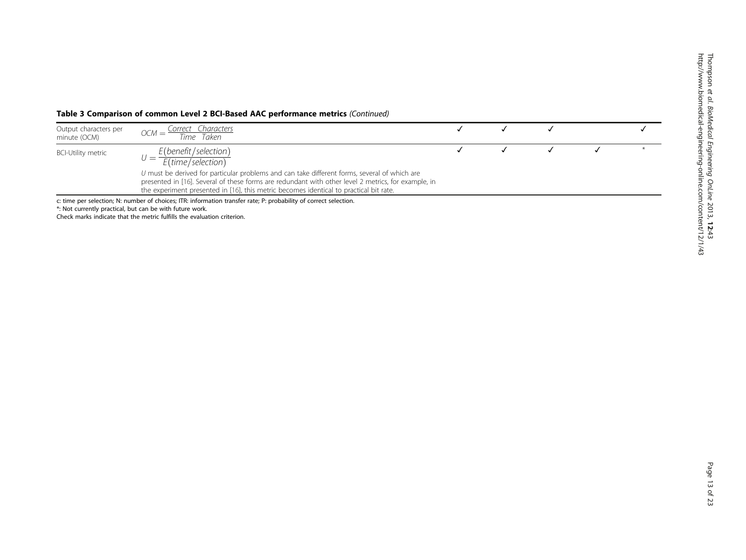# Table 3 Comparison of common Level 2 BCI-Based AAC performance metrics (Continued)

| Output characters per<br>minute (OCM) | <u>Correct Characters</u><br>Time Taken<br>$OCM =$                                                                                                                                                                                                                                                                                                                       |  |  |  |
|---------------------------------------|--------------------------------------------------------------------------------------------------------------------------------------------------------------------------------------------------------------------------------------------------------------------------------------------------------------------------------------------------------------------------|--|--|--|
| <b>BCI-Utility metric</b>             | E(benefit/selection)<br>$U = \frac{V}{E(\text{time}/\text{selection})}$<br>U must be derived for particular problems and can take different forms, several of which are<br>presented in [16]. Several of these forms are redundant with other level 2 metrics, for example, in<br>the experiment presented in [16], this metric becomes identical to practical bit rate. |  |  |  |
|                                       | c: time per selection; N: number of choices; ITR: information transfer rate; P: probability of correct selection.                                                                                                                                                                                                                                                        |  |  |  |

\*: Not currently practical, but can be with future work.

Check marks indicate that the metric fulfills the evaluation criterion.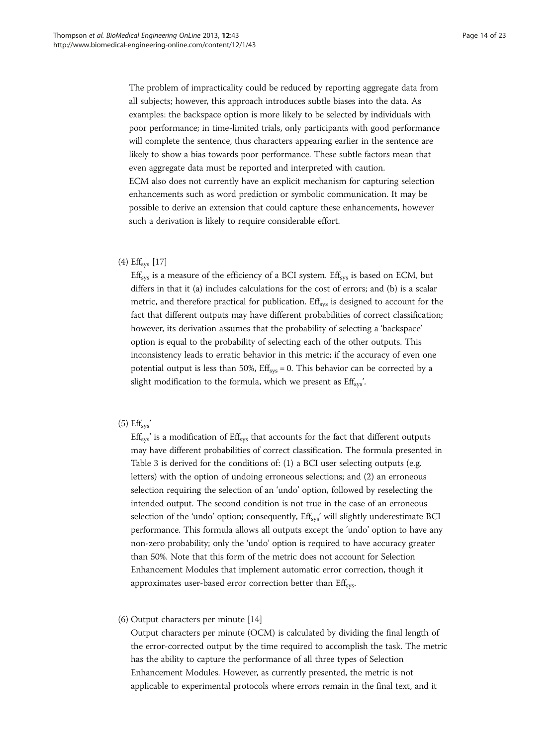The problem of impracticality could be reduced by reporting aggregate data from all subjects; however, this approach introduces subtle biases into the data. As examples: the backspace option is more likely to be selected by individuals with poor performance; in time-limited trials, only participants with good performance will complete the sentence, thus characters appearing earlier in the sentence are likely to show a bias towards poor performance. These subtle factors mean that even aggregate data must be reported and interpreted with caution. ECM also does not currently have an explicit mechanism for capturing selection enhancements such as word prediction or symbolic communication. It may be possible to derive an extension that could capture these enhancements, however such a derivation is likely to require considerable effort.

 $(4)$  Eff<sub>sys</sub> [\[17\]](#page-19-0)

 $Eff_{sys}$  is a measure of the efficiency of a BCI system. Eff $_{sys}$  is based on ECM, but differs in that it (a) includes calculations for the cost of errors; and (b) is a scalar metric, and therefore practical for publication. Eff<sub>sys</sub> is designed to account for the fact that different outputs may have different probabilities of correct classification; however, its derivation assumes that the probability of selecting a 'backspace' option is equal to the probability of selecting each of the other outputs. This inconsistency leads to erratic behavior in this metric; if the accuracy of even one potential output is less than 50%,  $Eff<sub>sys</sub> = 0$ . This behavior can be corrected by a slight modification to the formula, which we present as  $Eff_{sys}$ .

 $(5)$  Eff<sub>sys</sub>'

 $Eff<sub>sys</sub>'$  is a modification of  $Eff<sub>sys</sub>$  that accounts for the fact that different outputs may have different probabilities of correct classification. The formula presented in Table [3](#page-11-0) is derived for the conditions of: (1) a BCI user selecting outputs (e.g. letters) with the option of undoing erroneous selections; and (2) an erroneous selection requiring the selection of an 'undo' option, followed by reselecting the intended output. The second condition is not true in the case of an erroneous selection of the 'undo' option; consequently, Eff<sub>sys</sub>' will slightly underestimate BCI performance. This formula allows all outputs except the 'undo' option to have any non-zero probability; only the 'undo' option is required to have accuracy greater than 50%. Note that this form of the metric does not account for Selection Enhancement Modules that implement automatic error correction, though it approximates user-based error correction better than  $\mathrm{Eff}_{\mathrm{sys}}$ .

(6) Output characters per minute [\[14](#page-19-0)]

Output characters per minute (OCM) is calculated by dividing the final length of the error-corrected output by the time required to accomplish the task. The metric has the ability to capture the performance of all three types of Selection Enhancement Modules. However, as currently presented, the metric is not applicable to experimental protocols where errors remain in the final text, and it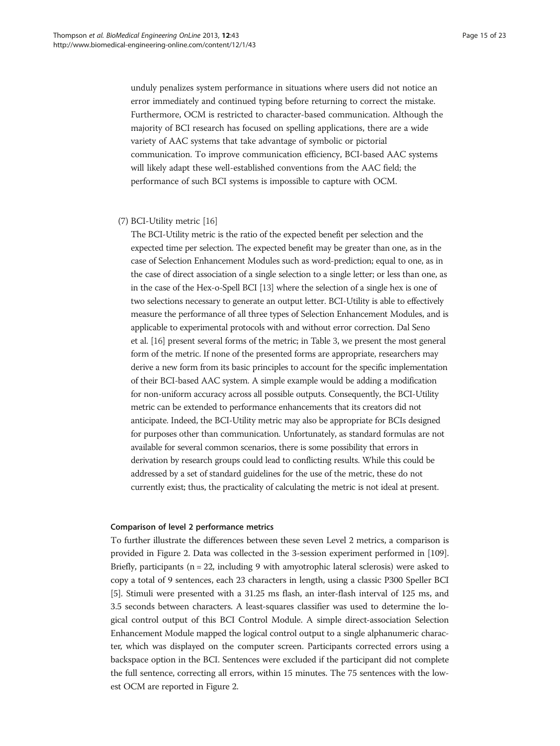unduly penalizes system performance in situations where users did not notice an error immediately and continued typing before returning to correct the mistake. Furthermore, OCM is restricted to character-based communication. Although the majority of BCI research has focused on spelling applications, there are a wide variety of AAC systems that take advantage of symbolic or pictorial communication. To improve communication efficiency, BCI-based AAC systems will likely adapt these well-established conventions from the AAC field; the performance of such BCI systems is impossible to capture with OCM.

#### (7) BCI-Utility metric [[16\]](#page-19-0)

The BCI-Utility metric is the ratio of the expected benefit per selection and the expected time per selection. The expected benefit may be greater than one, as in the case of Selection Enhancement Modules such as word-prediction; equal to one, as in the case of direct association of a single selection to a single letter; or less than one, as in the case of the Hex-o-Spell BCI [\[13](#page-19-0)] where the selection of a single hex is one of two selections necessary to generate an output letter. BCI-Utility is able to effectively measure the performance of all three types of Selection Enhancement Modules, and is applicable to experimental protocols with and without error correction. Dal Seno et al. [\[16\]](#page-19-0) present several forms of the metric; in Table [3,](#page-11-0) we present the most general form of the metric. If none of the presented forms are appropriate, researchers may derive a new form from its basic principles to account for the specific implementation of their BCI-based AAC system. A simple example would be adding a modification for non-uniform accuracy across all possible outputs. Consequently, the BCI-Utility metric can be extended to performance enhancements that its creators did not anticipate. Indeed, the BCI-Utility metric may also be appropriate for BCIs designed for purposes other than communication. Unfortunately, as standard formulas are not available for several common scenarios, there is some possibility that errors in derivation by research groups could lead to conflicting results. While this could be addressed by a set of standard guidelines for the use of the metric, these do not currently exist; thus, the practicality of calculating the metric is not ideal at present.

#### Comparison of level 2 performance metrics

To further illustrate the differences between these seven Level 2 metrics, a comparison is provided in Figure [2](#page-15-0). Data was collected in the 3-session experiment performed in [\[109](#page-22-0)]. Briefly, participants ( $n = 22$ , including 9 with amyotrophic lateral sclerosis) were asked to copy a total of 9 sentences, each 23 characters in length, using a classic P300 Speller BCI [[5\]](#page-19-0). Stimuli were presented with a 31.25 ms flash, an inter-flash interval of 125 ms, and 3.5 seconds between characters. A least-squares classifier was used to determine the logical control output of this BCI Control Module. A simple direct-association Selection Enhancement Module mapped the logical control output to a single alphanumeric character, which was displayed on the computer screen. Participants corrected errors using a backspace option in the BCI. Sentences were excluded if the participant did not complete the full sentence, correcting all errors, within 15 minutes. The 75 sentences with the lowest OCM are reported in Figure [2.](#page-15-0)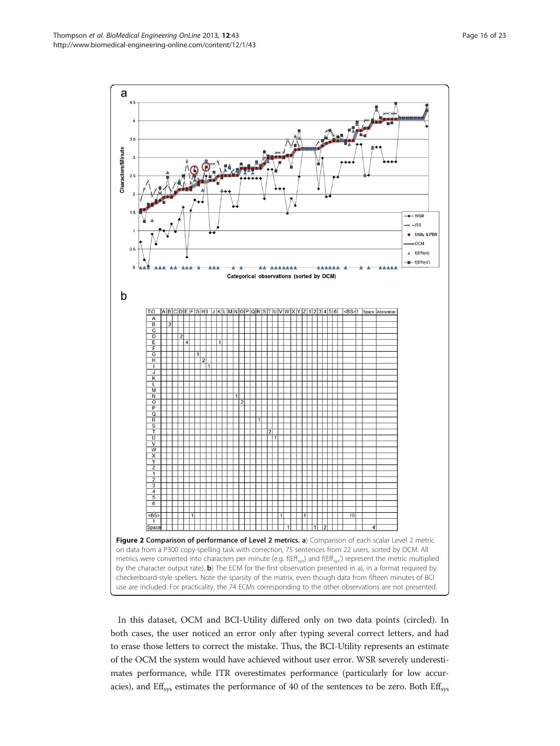<span id="page-15-0"></span>

In this dataset, OCM and BCI-Utility differed only on two data points (circled). In both cases, the user noticed an error only after typing several correct letters, and had to erase those letters to correct the mistake. Thus, the BCI-Utility represents an estimate of the OCM the system would have achieved without user error. WSR severely underestimates performance, while ITR overestimates performance (particularly for low accuracies), and Eff<sub>sys</sub> estimates the performance of 40 of the sentences to be zero. Both Eff<sub>sys</sub>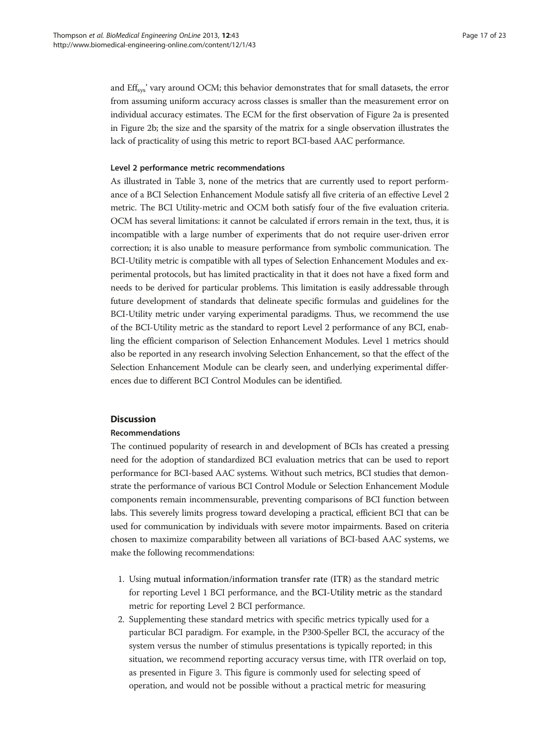and Effsys' vary around OCM; this behavior demonstrates that for small datasets, the error from assuming uniform accuracy across classes is smaller than the measurement error on individual accuracy estimates. The ECM for the first observation of Figure [2a](#page-15-0) is presented in Figure [2](#page-15-0)b; the size and the sparsity of the matrix for a single observation illustrates the lack of practicality of using this metric to report BCI-based AAC performance.

#### Level 2 performance metric recommendations

As illustrated in Table [3](#page-11-0), none of the metrics that are currently used to report performance of a BCI Selection Enhancement Module satisfy all five criteria of an effective Level 2 metric. The BCI Utility-metric and OCM both satisfy four of the five evaluation criteria. OCM has several limitations: it cannot be calculated if errors remain in the text, thus, it is incompatible with a large number of experiments that do not require user-driven error correction; it is also unable to measure performance from symbolic communication. The BCI-Utility metric is compatible with all types of Selection Enhancement Modules and experimental protocols, but has limited practicality in that it does not have a fixed form and needs to be derived for particular problems. This limitation is easily addressable through future development of standards that delineate specific formulas and guidelines for the BCI-Utility metric under varying experimental paradigms. Thus, we recommend the use of the BCI-Utility metric as the standard to report Level 2 performance of any BCI, enabling the efficient comparison of Selection Enhancement Modules. Level 1 metrics should also be reported in any research involving Selection Enhancement, so that the effect of the Selection Enhancement Module can be clearly seen, and underlying experimental differences due to different BCI Control Modules can be identified.

# **Discussion**

#### Recommendations

The continued popularity of research in and development of BCIs has created a pressing need for the adoption of standardized BCI evaluation metrics that can be used to report performance for BCI-based AAC systems. Without such metrics, BCI studies that demonstrate the performance of various BCI Control Module or Selection Enhancement Module components remain incommensurable, preventing comparisons of BCI function between labs. This severely limits progress toward developing a practical, efficient BCI that can be used for communication by individuals with severe motor impairments. Based on criteria chosen to maximize comparability between all variations of BCI-based AAC systems, we make the following recommendations:

- 1. Using mutual information/information transfer rate (ITR) as the standard metric for reporting Level 1 BCI performance, and the BCI-Utility metric as the standard metric for reporting Level 2 BCI performance.
- 2. Supplementing these standard metrics with specific metrics typically used for a particular BCI paradigm. For example, in the P300-Speller BCI, the accuracy of the system versus the number of stimulus presentations is typically reported; in this situation, we recommend reporting accuracy versus time, with ITR overlaid on top, as presented in Figure [3.](#page-17-0) This figure is commonly used for selecting speed of operation, and would not be possible without a practical metric for measuring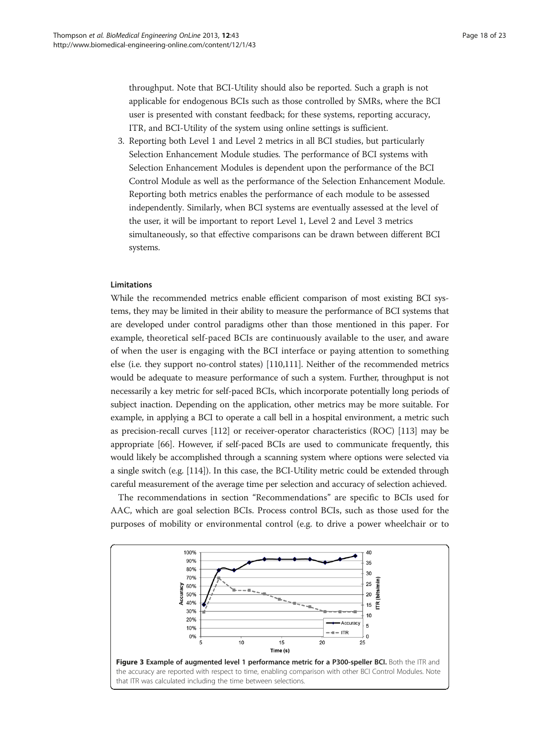<span id="page-17-0"></span>throughput. Note that BCI-Utility should also be reported. Such a graph is not applicable for endogenous BCIs such as those controlled by SMRs, where the BCI user is presented with constant feedback; for these systems, reporting accuracy, ITR, and BCI-Utility of the system using online settings is sufficient.

3. Reporting both Level 1 and Level 2 metrics in all BCI studies, but particularly Selection Enhancement Module studies. The performance of BCI systems with Selection Enhancement Modules is dependent upon the performance of the BCI Control Module as well as the performance of the Selection Enhancement Module. Reporting both metrics enables the performance of each module to be assessed independently. Similarly, when BCI systems are eventually assessed at the level of the user, it will be important to report Level 1, Level 2 and Level 3 metrics simultaneously, so that effective comparisons can be drawn between different BCI systems.

# Limitations

While the recommended metrics enable efficient comparison of most existing BCI systems, they may be limited in their ability to measure the performance of BCI systems that are developed under control paradigms other than those mentioned in this paper. For example, theoretical self-paced BCIs are continuously available to the user, and aware of when the user is engaging with the BCI interface or paying attention to something else (i.e. they support no-control states) [\[110,111](#page-22-0)]. Neither of the recommended metrics would be adequate to measure performance of such a system. Further, throughput is not necessarily a key metric for self-paced BCIs, which incorporate potentially long periods of subject inaction. Depending on the application, other metrics may be more suitable. For example, in applying a BCI to operate a call bell in a hospital environment, a metric such as precision-recall curves [\[112\]](#page-22-0) or receiver-operator characteristics (ROC) [[113\]](#page-22-0) may be appropriate [[66](#page-21-0)]. However, if self-paced BCIs are used to communicate frequently, this would likely be accomplished through a scanning system where options were selected via a single switch (e.g. [\[114\]](#page-22-0)). In this case, the BCI-Utility metric could be extended through careful measurement of the average time per selection and accuracy of selection achieved.

The recommendations in section "[Recommendations](#page-15-0)" are specific to BCIs used for AAC, which are goal selection BCIs. Process control BCIs, such as those used for the purposes of mobility or environmental control (e.g. to drive a power wheelchair or to

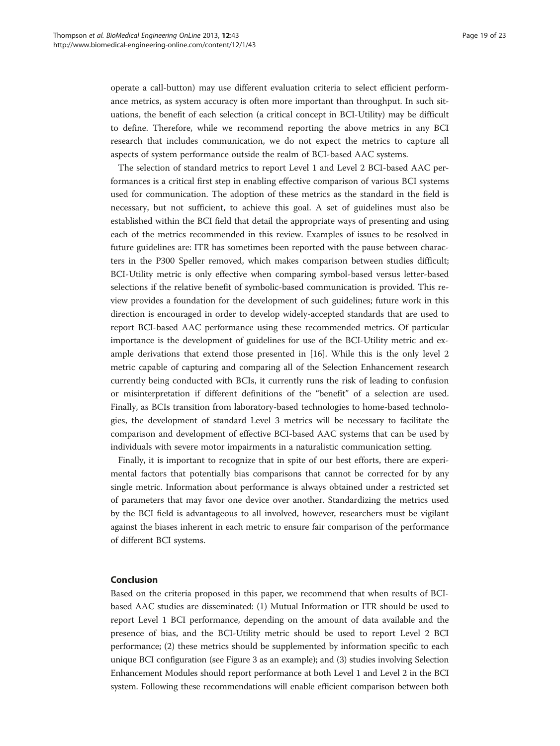operate a call-button) may use different evaluation criteria to select efficient performance metrics, as system accuracy is often more important than throughput. In such situations, the benefit of each selection (a critical concept in BCI-Utility) may be difficult to define. Therefore, while we recommend reporting the above metrics in any BCI research that includes communication, we do not expect the metrics to capture all aspects of system performance outside the realm of BCI-based AAC systems.

The selection of standard metrics to report Level 1 and Level 2 BCI-based AAC performances is a critical first step in enabling effective comparison of various BCI systems used for communication. The adoption of these metrics as the standard in the field is necessary, but not sufficient, to achieve this goal. A set of guidelines must also be established within the BCI field that detail the appropriate ways of presenting and using each of the metrics recommended in this review. Examples of issues to be resolved in future guidelines are: ITR has sometimes been reported with the pause between characters in the P300 Speller removed, which makes comparison between studies difficult; BCI-Utility metric is only effective when comparing symbol-based versus letter-based selections if the relative benefit of symbolic-based communication is provided. This review provides a foundation for the development of such guidelines; future work in this direction is encouraged in order to develop widely-accepted standards that are used to report BCI-based AAC performance using these recommended metrics. Of particular importance is the development of guidelines for use of the BCI-Utility metric and example derivations that extend those presented in [[16\]](#page-19-0). While this is the only level 2 metric capable of capturing and comparing all of the Selection Enhancement research currently being conducted with BCIs, it currently runs the risk of leading to confusion or misinterpretation if different definitions of the "benefit" of a selection are used. Finally, as BCIs transition from laboratory-based technologies to home-based technologies, the development of standard Level 3 metrics will be necessary to facilitate the comparison and development of effective BCI-based AAC systems that can be used by individuals with severe motor impairments in a naturalistic communication setting.

Finally, it is important to recognize that in spite of our best efforts, there are experimental factors that potentially bias comparisons that cannot be corrected for by any single metric. Information about performance is always obtained under a restricted set of parameters that may favor one device over another. Standardizing the metrics used by the BCI field is advantageous to all involved, however, researchers must be vigilant against the biases inherent in each metric to ensure fair comparison of the performance of different BCI systems.

#### Conclusion

Based on the criteria proposed in this paper, we recommend that when results of BCIbased AAC studies are disseminated: (1) Mutual Information or ITR should be used to report Level 1 BCI performance, depending on the amount of data available and the presence of bias, and the BCI-Utility metric should be used to report Level 2 BCI performance; (2) these metrics should be supplemented by information specific to each unique BCI configuration (see Figure [3](#page-17-0) as an example); and (3) studies involving Selection Enhancement Modules should report performance at both Level 1 and Level 2 in the BCI system. Following these recommendations will enable efficient comparison between both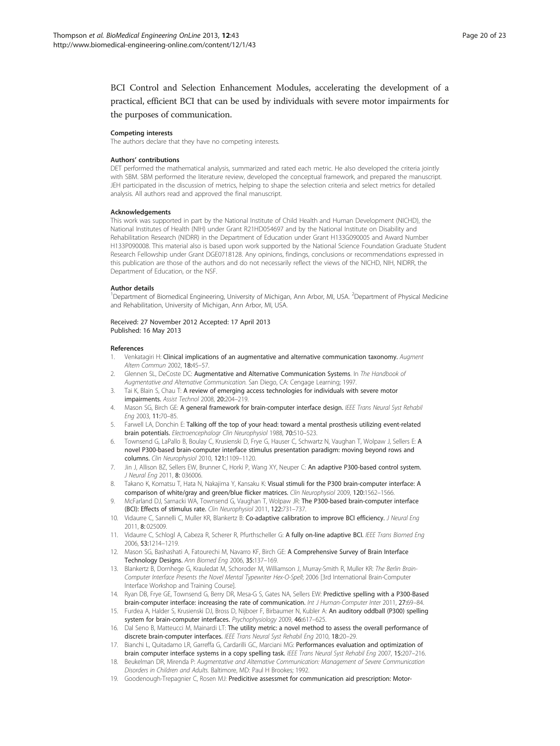# <span id="page-19-0"></span>BCI Control and Selection Enhancement Modules, accelerating the development of a practical, efficient BCI that can be used by individuals with severe motor impairments for the purposes of communication.

#### Competing interests

The authors declare that they have no competing interests.

#### Authors' contributions

DET performed the mathematical analysis, summarized and rated each metric. He also developed the criteria jointly with SBM. SBM performed the literature review, developed the conceptual framework, and prepared the manuscript. JEH participated in the discussion of metrics, helping to shape the selection criteria and select metrics for detailed analysis. All authors read and approved the final manuscript.

#### Acknowledgements

This work was supported in part by the National Institute of Child Health and Human Development (NICHD), the National Institutes of Health (NIH) under Grant R21HD054697 and by the National Institute on Disability and Rehabilitation Research (NIDRR) in the Department of Education under Grant H133G090005 and Award Number H133P090008. This material also is based upon work supported by the National Science Foundation Graduate Student Research Fellowship under Grant DGE0718128. Any opinions, findings, conclusions or recommendations expressed in this publication are those of the authors and do not necessarily reflect the views of the NICHD, NIH, NIDRR, the Department of Education, or the NSF.

#### Author details

<sup>1</sup>Department of Biomedical Engineering, University of Michigan, Ann Arbor, MI, USA. <sup>2</sup>Department of Physical Medicine and Rehabilitation, University of Michigan, Ann Arbor, MI, USA.

#### Received: 27 November 2012 Accepted: 17 April 2013 Published: 16 May 2013

#### References

- Venkatagiri H: Clinical implications of an augmentative and alternative communication taxonomy. Augment Altern Commun 2002, 18:45–57.
- Glennen SL, DeCoste DC: Augmentative and Alternative Communication Systems. In The Handbook of Augmentative and Alternative Communication. San Diego, CA: Cengage Learning; 1997.
- Tai K, Blain S, Chau T: A review of emerging access technologies for individuals with severe motor impairments. Assist Technol 2008, 20:204–219.
- Mason SG, Birch GE: A general framework for brain-computer interface design. IEEE Trans Neural Syst Rehabil Eng 2003, 11:70–85.
- 5. Farwell LA, Donchin E: Talking off the top of your head: toward a mental prosthesis utilizing event-related brain potentials. Electroencephalogr Clin Neurophysiol 1988, 70:510–523.
- 6. Townsend G, LaPallo B, Boulay C, Krusienski D, Frye G, Hauser C, Schwartz N, Vaughan T, Wolpaw J, Sellers E: A novel P300-based brain-computer interface stimulus presentation paradigm: moving beyond rows and columns. Clin Neurophysiol 2010, 121:1109–1120.
- 7. Jin J, Allison BZ, Sellers EW, Brunner C, Horki P, Wang XY, Neuper C: An adaptive P300-based control system. J Neural Eng 2011, 8: 036006.
- 8. Takano K, Komatsu T, Hata N, Nakajima Y, Kansaku K: Visual stimuli for the P300 brain-computer interface: A comparison of white/gray and green/blue flicker matrices. Clin Neurophysiol 2009, 120:1562-1566
- 9. McFarland DJ, Sarnacki WA, Townsend G, Vaughan T, Wolpaw JR: The P300-based brain-computer interface (BCI): Effects of stimulus rate. Clin Neurophysiol 2011, 122:731–737.
- 10. Vidaurre C, Sannelli C, Muller KR, Blankertz B: Co-adaptive calibration to improve BCI efficiency. J Neural Eng 2011, 8: 025009.
- 11. Vidaurre C, Schlogl A, Cabeza R, Scherer R, Pfurthscheller G: A fully on-line adaptive BCI. IEEE Trans Biomed Eng 2006, 53:1214–1219.
- 12. Mason SG, Bashashati A, Fatourechi M, Navarro KF, Birch GE: A Comprehensive Survey of Brain Interface Technology Designs. Ann Biomed Eng 2006, 35:137–169.
- 13. Blankertz B, Dornhege G, Krauledat M, Schoroder M, Williamson J, Murray-Smith R, Muller KR: The Berlin Brain-Computer Interface Presents the Novel Mental Typewriter Hex-O-Spell; 2006 [3rd International Brain-Computer Interface Workshop and Training Course].
- 14. Ryan DB, Frye GE, Townsend G, Berry DR, Mesa-G S, Gates NA, Sellers EW: Predictive spelling with a P300-Based brain-computer interface: increasing the rate of communication. Int J Human-Computer Inter 2011, 27:69–84.
- 15. Furdea A, Halder S, Krusienski DJ, Bross D, Nijboer F, Birbaumer N, Kubler A: An auditory oddball (P300) spelling system for brain-computer interfaces. Psychophysiology 2009, 46:617-625.
- 16. Dal Seno B, Matteucci M, Mainardi LT: The utility metric: a novel method to assess the overall performance of discrete brain-computer interfaces. IEEE Trans Neural Syst Rehabil Eng 2010, 18:20-29.
- 17. Bianchi L, Quitadamo LR, Garreffa G, Cardarilli GC, Marciani MG: Performances evaluation and optimization of brain computer interface systems in a copy spelling task. IEEE Trans Neural Syst Rehabil Eng 2007, 15:207–216.
- 18. Beukelman DR, Mirenda P: Augmentative and Alternative Communication: Management of Severe Communication Disorders in Children and Adults. Baltimore, MD: Paul H Brookes; 1992.
- 19. Goodenough-Trepagnier C, Rosen MJ: Predicitive assessmet for communication aid prescription: Motor-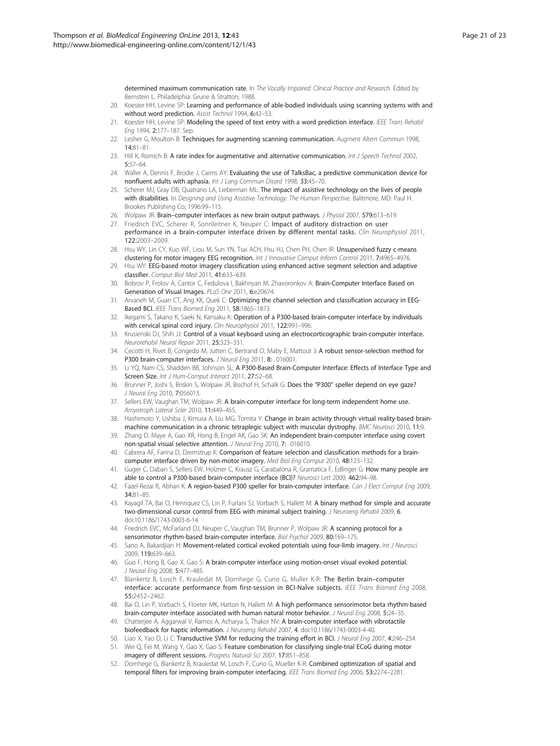determined maximum communication rate. In The Vocally Impaired: Clinical Practice and Research. Edited by Bernstein L. Philadelphia: Grune & Stratton; 1988.

- <span id="page-20-0"></span>20. Koester HH, Levine SP: Learning and performance of able-bodied individuals using scanning systems with and without word prediction. Assist Technol 1994, 6:42-53.
- 21. Koester HH, Levine SP: Modeling the speed of text entry with a word prediction interface. IEEE Trans Rehabil Eng 1994, 2:177–187. Sep.
- 22. Lesher G, Moulton B: Techniques for augmenting scanning communication. Augment Altern Commun 1998, 14:81–81.
- 23. Hill K, Romich B: A rate index for augmentative and alternative communication. Int J Speech Technol 2002, 5:57–64.
- 24. Waller A, Dennis F, Brodie J, Cairns AY: Evaluating the use of TalksBac, a predictive communication device for nonfluent adults with aphasia. Int J Lang Commun Disord 1998, 33:45–70.
- 25. Scherer MJ, Gray DB, Quatrano LA, Lieberman ML: The impact of assistive technology on the lives of people with disabilities. In Designing and Using Assistive Technology: The Human Perspective. Balitmore, MD: Paul H. Brookes Publishing Co; 1996:99–115.
- 26. Wolpaw JR: Brain–computer interfaces as new brain output pathways. J Physiol 2007, 579:613–619.
- 27. Friedrich EVC, Scherer R, Sonnleitner K, Neuper C: Impact of auditory distraction on user performance in a brain-computer interface driven by different mental tasks. Clin Neurophysiol 2011, 122:2003–2009.
- 28. Hsu WY, Lin CY, Kuo WF, Liou M, Sun YN, Tsai ACH, Hsu HJ, Chen PH, Chen IR: Unsupervised fuzzy c-means clustering for motor imagery EEG recognition. Int J Innovative Comput Inform Control 2011, 7:4965-4976.
- 29. Hsu WY: EEG-based motor imagery classification using enhanced active segment selection and adaptive classifier. Comput Biol Med 2011, 41:633–639.
- 30. Bobrov P, Frolov A, Cantor C, Fedulova I, Bakhnyan M, Zhavoronkov A: Brain-Computer Interface Based on Generation of Visual Images. PLoS One 2011, 6:e20674.
- 31. Arvaneh M, Guan CT, Ang KK, Quek C: Optimizing the channel selection and classification accuracy in EEG-Based BCI. IEEE Trans Biomed Eng 2011, 58:1865-1873.
- 32. Ikegami S, Takano K, Saeki N, Kansaku K: Operation of a P300-based brain-computer interface by individuals with cervical spinal cord injury. Clin Neurophysiol 2011, 122:991–996.
- 33. Krusienski DJ, Shih JJ: Control of a visual keyboard using an electrocorticographic brain-computer interface. Neurorehabil Neural Repair 2011, 25:323–331.
- 34. Cecotti H, Rivet B, Congedo M, Jutten C, Bertrand O, Maby E, Mattout J: A robust sensor-selection method for P300 brain-computer interfaces. J Neural Eng 2011, 8: . 016001.
- 35. Li YQ, Nam CS, Shadden BB, Johnson SL: A P300-Based Brain-Computer Interface: Effects of Interface Type and Screen Size. Int J Hum-Comput Interact 2011, 27:52-68.
- 36. Brunner P, Joshi S, Briskin S, Wolpaw JR, Bischof H, Schalk G: Does the "P300" speller depend on eye gaze? J Neural Eng 2010, 7:056013.
- 37. Sellers EW, Vaughan TM, Wolpaw JR: A brain-computer interface for long-term independent home use. Amyotroph Lateral Scler 2010, 11:449–455.
- 38. Hashimoto Y, Ushiba J, Kimura A, Liu MG, Tomita Y: Change in brain activity through virtual reality-based brainmachine communication in a chronic tetraplegic subject with muscular dystrophy. BMC Neurosci 2010, 11:9.
- 39. Zhang D, Maye A, Gao XR, Hong B, Engel AK, Gao SK: An independent brain-computer interface using covert non-spatial visual selective attention. J Neural Eng 2010, 7: . 016010.
- 40. Cabrera AF, Farina D, Dremstrup K: Comparison of feature selection and classification methods for a braincomputer interface driven by non-motor imagery. Med Biol Eng Comput 2010, 48:123–132.
- 41. Guger C, Daban S, Sellers EW, Holzner C, Krausz G, Carabalona R, Gramatica F, Edlinger G: How many people are able to control a P300-based brain-computer interface (BCI)? Neurosci Lett 2009, 462:94-98.
- 42. Fazel-Rezai R, Abhari K: A region-based P300 speller for brain-computer interface. Can J Elect Comput Eng 2009, 34:81–85.
- 43. Kayagil TA, Bai O, Henriquez CS, Lin P, Furlani SJ, Vorbach S, Hallett M: A binary method for simple and accurate two-dimensional cursor control from EEG with minimal subject training. J Neuroeng Rehabil 2009, 6. doi:[10.1186/1743-0003-6-14.](http://dx.doi.org/10.1186/1743-0003-6-14)
- 44. Friedrich EVC, McFarland DJ, Neuper C, Vaughan TM, Brunner P, Wolpaw JR: A scanning protocol for a sensorimotor rhythm-based brain-computer interface. Biol Psychol 2009, 80:169-175.
- 45. Sano A, Bakardjian H: Movement-related cortical evoked potentials using four-limb imagery. Int J Neurosci 2009, 119:639–663.
- 46. Guo F, Hong B, Gao X, Gao S: A brain-computer interface using motion-onset visual evoked potential. J Neural Eng 2008, 5:477–485.
- 47. Blankertz B, Losch F, Krauledat M, Dornhege G, Curio G, Muller K-R: The Berlin brain-computer interface: accurate performance from first-session in BCI-NaÏve subjects. IEEE Trans Biomed Eng 2008, 55:2452–2462.
- 48. Bai O, Lin P, Vorbach S, Floeter MK, Hattori N, Hallett M: A high performance sensorimotor beta rhythm-based brain-computer interface associated with human natural motor behavior. J Neural Eng 2008, 5:24–35.
- 49. Chatterjee A, Aggarwal V, Ramos A, Acharya S, Thakor NV: A brain-computer interface with vibrotactile biofeedback for haptic information. J Neuroeng Rehabil 2007, 4. doi[:10.1186/1743-0003-4-40](http://dx.doi.org/10.1186/1743-0003-4-40).
- 50. Liao X, Yao D, Li C: Transductive SVM for reducing the training effort in BCI. J Neural Eng 2007, 4:246–254.
- 51. Wei Q, Fei M, Wang Y, Gao X, Gao S: Feature combination for classifying single-trial ECoG during motor imagery of different sessions. Progress Natural Sci 2007, 17:851-858.
- 52. Dornhege G, Blankertz B, Krauledat M, Losch F, Curio G, Mueller K-R: Combined optimization of spatial and temporal filters for improving brain-computer interfacing. IEEE Trans Biomed Eng 2006, 53:2274–2281.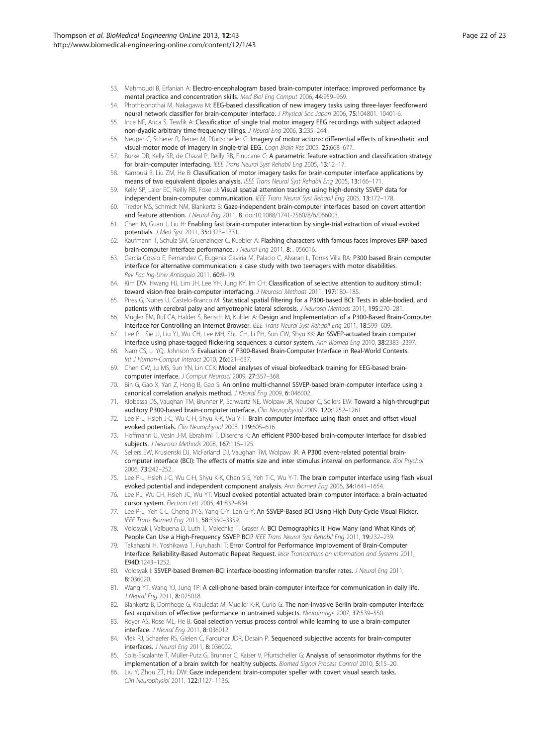- <span id="page-21-0"></span>53. Mahmoudi B, Erfanian A: Electro-encephalogram based brain-computer interface: improved performance by mental practice and concentration skills. Med Biol Eng Comput 2006, 44:959–969.
- 54. Phothisonothai M, Nakagawa M: EEG-based classification of new imagery tasks using three-layer feedforward neural network classifier for brain-computer interface. J Physical Soc Japan 2006, 75:104801. 10401-6.
- 55. Ince NF, Arica S, Tewfik A: Classification of single trial motor imagery EEG recordings with subject adapted non-dyadic arbitrary time-frequency tilings. J Neural Eng 2006, 3:235–244.
- 56. Neuper C, Scherer R, Reiner M, Pfurtscheller G: Imagery of motor actions: differential effects of kinesthetic and visual-motor mode of imagery in single-trial EEG. Cogn Brain Res 2005, 25:668–677.
- 57. Burke DR, Kelly SR, de Chazal P, Reilly RB, Finucane C: A parametric feature extraction and classification strategy for brain-computer interfacing. IEEE Trans Neural Syst Rehabil Eng 2005, 13:12-17.
- 58. Kamousi B, Liu ZM, He B: Classification of motor imagery tasks for brain-computer interface applications by means of two equivalent dipoles analysis. IEEE Trans Neural Syst Rehabil Eng 2005, 13:166-171.
- 59. Kelly SP, Lalor EC, Reilly RB, Foxe JJ: Visual spatial attention tracking using high-density SSVEP data for independent brain-computer communication. IEEE Trans Neural Syst Rehabil Eng 2005, 13:172-178.
- 60. Treder MS, Schmidt NM, Blankertz B: Gaze-independent brain-computer interfaces based on covert attention and feature attention. J Neural Eng 2011, 8. doi[:10.1088/1741-2560/8/6/066003](http://dx.doi.org/10.1088/1741-2560/8/6/066003).
- 61. Chen M, Guan J, Liu H: Enabling fast brain-computer interaction by single-trial extraction of visual evoked potentials. J Med Syst 2011, 35:1323–1331.
- 62. Kaufmann T, Schulz SM, Gruenzinger C, Kuebler A: Flashing characters with famous faces improves ERP-based brain-computer interface performance. J Neural Eng 2011, 8: . 056016.
- 63. Garcia Cossio E, Fernandez C, Eugenia Gaviria M, Palacio C, Alvaran L, Torres Villa RA: P300 based Brain computer interface for alternative communication: a case study with two teenagers with motor disabilities. Rev Fac Ing-Univ Antioquia 2011, 60:9–19.
- 64. Kim DW, Hwang HJ, Lim JH, Lee YH, Jung KY, Im CH: Classification of selective attention to auditory stimuli: toward vision-free brain-computer interfacing. J Neurosci Methods 2011, 197:180–185.
- 65. Pires G, Nunes U, Castelo-Branco M: Statistical spatial filtering for a P300-based BCI: Tests in able-bodied, and patients with cerebral palsy and amyotrophic lateral sclerosis. J Neurosci Methods 2011, 195:270-281
- 66. Mugler EM, Ruf CA, Halder S, Bensch M, Kubler A: Design and Implementation of a P300-Based Brain-Computer Interface for Controlling an Internet Browser. IEEE Trans Neural Syst Rehabil Eng 2011, 18:599–609.
- 67. Lee PL, Sie JJ, Liu YJ, Wu CH, Lee MH, Shu CH, Li PH, Sun CW, Shyu KK: An SSVEP-actuated brain computer interface using phase-tagged flickering sequences: a cursor system. Ann Biomed Eng 2010, 38:2383–2397.
- 68. Nam CS, Li YQ, Johnson S: Evaluation of P300-Based Brain-Computer Interface in Real-World Contexts. Int J Human-Comput Interact 2010, 26:621–637.
- 69. Chen CW, Ju MS, Sun YN, Lin CCK: Model analyses of visual biofeedback training for EEG-based braincomputer interface. J Comput Neurosci 2009, 27:357–368.
- 70. Bin G, Gao X, Yan Z, Hong B, Gao S: An online multi-channel SSVEP-based brain-computer interface using a canonical correlation analysis method. J Neural Eng 2009, 6:046002
- 71. Klobassa DS, Vaughan TM, Brunner P, Schwartz NE, Wolpaw JR, Neuper C, Sellers EW: Toward a high-throughput auditory P300-based brain-computer interface. Clin Neurophysiol 2009, 120:1252–1261.
- 72. Lee P-L, Hsieh J-C, Wu C-H, Shyu K-K, Wu Y-T: Brain computer interface using flash onset and offset visual evoked potentials. Clin Neurophysiol 2008, 119:605–616.
- 73. Hoffmann U, Vesin J-M, Ebrahimi T, Diserens K: An efficient P300-based brain-computer interface for disabled subjects. J Neurosci Methods 2008, 167:115-125.
- 74. Sellers EW, Krusienski DJ, McFarland DJ, Vaughan TM, Wolpaw JR: A P300 event-related potential braincomputer interface (BCI): The effects of matrix size and inter stimulus interval on performance. Biol Psychol 2006, 73:242–252.
- 75. Lee P-L, Hsieh J-C, Wu C-H, Shyu K-K, Chen S-S, Yeh T-C, Wu Y-T: The brain computer interface using flash visual evoked potential and independent component analysis. Ann Biomed Eng 2006, 34:1641-1654
- 76. Lee PL, Wu CH, Hsieh JC, Wu YT: Visual evoked potential actuated brain computer interface: a brain-actuated cursor system. Electron Lett 2005, 41:832–834.
- 77. Lee P-L, Yeh C-L, Cheng JY-S, Yang C-Y, Lan G-Y: An SSVEP-Based BCI Using High Duty-Cycle Visual Flicker. IEEE Trans Biomed Eng 2011, 58:3350–3359.
- 78. Volosyak I, Valbuena D, Luth T, Malechka T, Graser A: BCI Demographics II: How Many (and What Kinds of) People Can Use a High-Frequency SSVEP BCI? IEEE Trans Neural Syst Rehabil Eng 2011, 19:232-239.
- 79. Takahashi H, Yoshikawa T, Furuhashi T: Error Control for Performance Improvement of Brain-Computer Interface: Reliability-Based Automatic Repeat Request. Ieice Transactions on Information and Systems 2011, E94D:1243–1252.
- 80. Volosyak I: SSVEP-based Bremen-BCI interface-boosting information transfer rates. J Neural Eng 2011, 8: 036020.
- 81. Wang YT, Wang YJ, Jung TP: A cell-phone-based brain-computer interface for communication in daily life. J Neural Eng 2011, 8:025018.
- 82. Blankertz B, Dornhege G, Krauledat M, Mueller K-R, Curio G: The non-invasive Berlin brain-computer interface: fast acquisition of effective performance in untrained subjects. Neuroimage 2007, 37:539–550.
- 83. Royer AS, Rose ML, He B: Goal selection versus process control while learning to use a brain-computer interface. J Neural Eng 2011, 8: 036012.
- 84. Vlek RJ, Schaefer RS, Gielen C, Farquhar JDR, Desain P: Sequenced subjective accents for brain-computer interfaces. J Neural Eng 2011, 8: 036002.
- 85. Solis-Escalante T, Müller-Putz G, Brunner C, Kaiser V, Pfurtscheller G: Analysis of sensorimotor rhythms for the implementation of a brain switch for healthy subjects. Biomed Signal Process Control 2010, 5:15–20.
- 86. Liu Y, Zhou ZT, Hu DW: Gaze independent brain-computer speller with covert visual search tasks. Clin Neurophysiol 2011, 122:1127–1136.